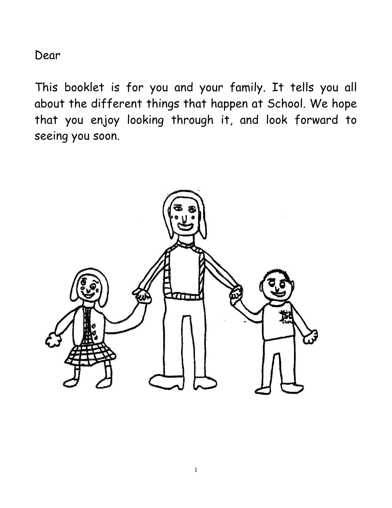Dear

This booklet is for you and your family. It tells you all about the different things that happen at School. We hope that you enjoy looking through it, and look forward to seeing you soon.

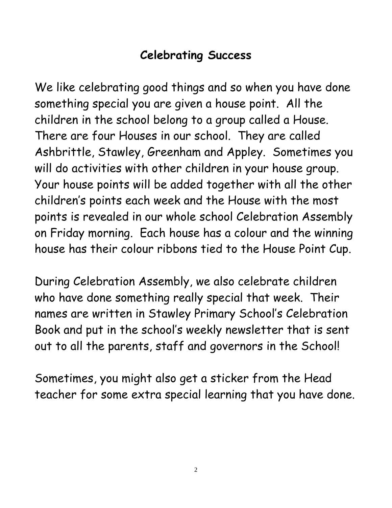## **Celebrating Success**

We like celebrating good things and so when you have done something special you are given a house point. All the children in the school belong to a group called a House. There are four Houses in our school. They are called Ashbrittle, Stawley, Greenham and Appley. Sometimes you will do activities with other children in your house group. Your house points will be added together with all the other children's points each week and the House with the most points is revealed in our whole school Celebration Assembly on Friday morning. Each house has a colour and the winning house has their colour ribbons tied to the House Point Cup.

During Celebration Assembly, we also celebrate children who have done something really special that week. Their names are written in Stawley Primary School's Celebration Book and put in the school's weekly newsletter that is sent out to all the parents, staff and governors in the School!

Sometimes, you might also get a sticker from the Head teacher for some extra special learning that you have done.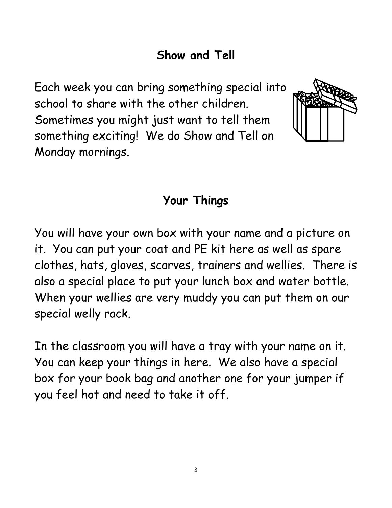## **Show and Tell**

Each week you can bring something special into school to share with the other children. Sometimes you might just want to tell them something exciting! We do Show and Tell on Monday mornings.



#### **Your Things**

You will have your own box with your name and a picture on it. You can put your coat and PE kit here as well as spare clothes, hats, gloves, scarves, trainers and wellies. There is also a special place to put your lunch box and water bottle. When your wellies are very muddy you can put them on our special welly rack.

In the classroom you will have a tray with your name on it. You can keep your things in here. We also have a special box for your book bag and another one for your jumper if you feel hot and need to take it off.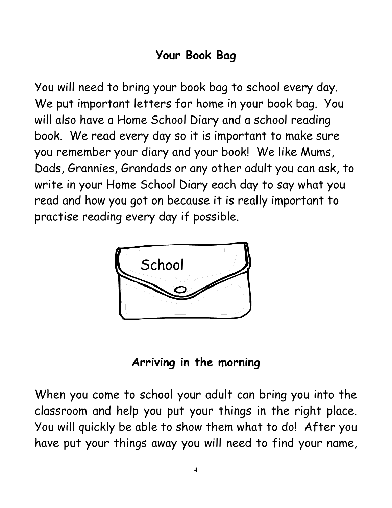## **Your Book Bag**

You will need to bring your book bag to school every day. We put important letters for home in your book bag. You will also have a Home School Diary and a school reading book. We read every day so it is important to make sure you remember your diary and your book! We like Mums, Dads, Grannies, Grandads or any other adult you can ask, to write in your Home School Diary each day to say what you read and how you got on because it is really important to practise reading every day if possible.



#### **Arriving in the morning**

When you come to school your adult can bring you into the classroom and help you put your things in the right place. You will quickly be able to show them what to do! After you have put your things away you will need to find your name,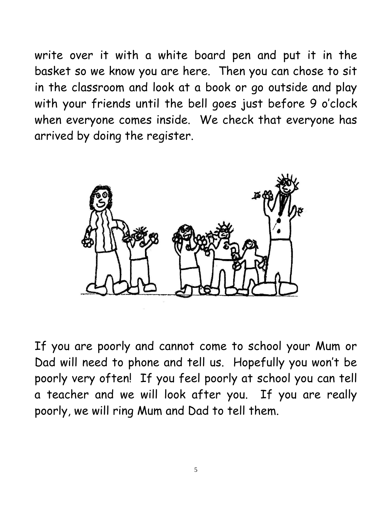write over it with a white board pen and put it in the basket so we know you are here. Then you can chose to sit in the classroom and look at a book or go outside and play with your friends until the bell goes just before 9 o'clock when everyone comes inside. We check that everyone has arrived by doing the register.



If you are poorly and cannot come to school your Mum or Dad will need to phone and tell us. Hopefully you won't be poorly very often! If you feel poorly at school you can tell a teacher and we will look after you. If you are really poorly, we will ring Mum and Dad to tell them.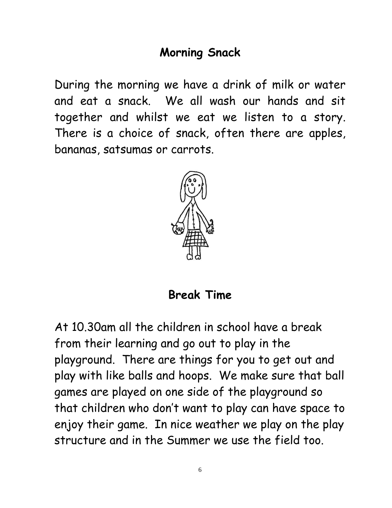### **Morning Snack**

During the morning we have a drink of milk or water and eat a snack. We all wash our hands and sit together and whilst we eat we listen to a story. There is a choice of snack, often there are apples, bananas, satsumas or carrots.



**Break Time**

At 10.30am all the children in school have a break from their learning and go out to play in the playground. There are things for you to get out and play with like balls and hoops. We make sure that ball games are played on one side of the playground so that children who don't want to play can have space to enjoy their game. In nice weather we play on the play structure and in the Summer we use the field too.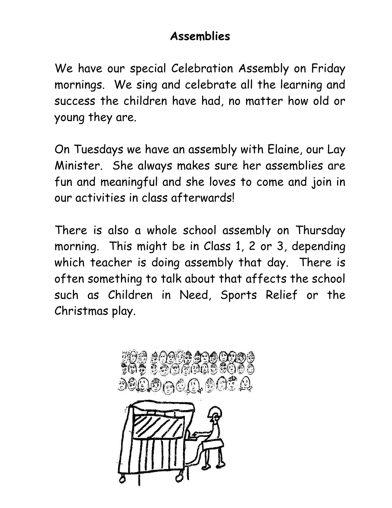## **Assemblies**

We have our special Celebration Assembly on Friday mornings. We sing and celebrate all the learning and success the children have had, no matter how old or young they are.

On Tuesdays we have an assembly with Elaine, our Lay Minister. She always makes sure her assemblies are fun and meaningful and she loves to come and join in our activities in class afterwards!

There is also a whole school assembly on Thursday morning. This might be in Class 1, 2 or 3, depending which teacher is doing assembly that day. There is often something to talk about that affects the school such as Children in Need, Sports Relief or the Christmas play.

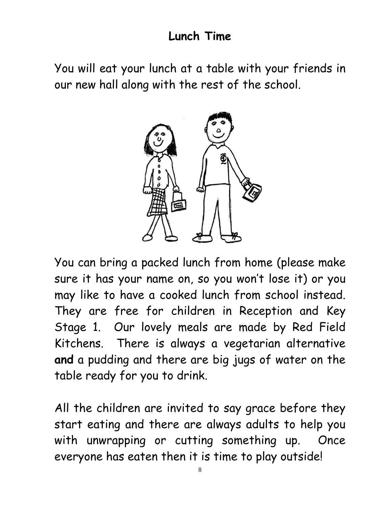### **Lunch Time**

You will eat your lunch at a table with your friends in our new hall along with the rest of the school.



You can bring a packed lunch from home (please make sure it has your name on, so you won't lose it) or you may like to have a cooked lunch from school instead. They are free for children in Reception and Key Stage 1. Our lovely meals are made by Red Field Kitchens. There is always a vegetarian alternative **and** a pudding and there are big jugs of water on the table ready for you to drink.

All the children are invited to say grace before they start eating and there are always adults to help you with unwrapping or cutting something up. Once everyone has eaten then it is time to play outside!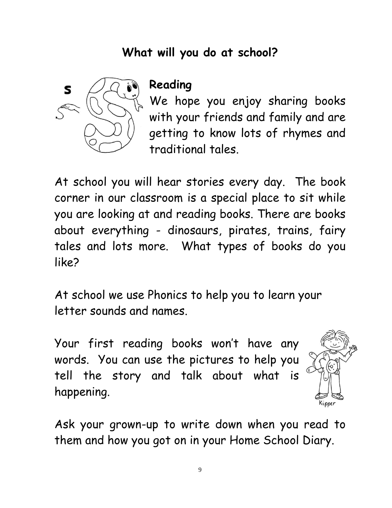## **What will you do at school?**



### **Reading**

We hope you enjoy sharing books with your friends and family and are getting to know lots of rhymes and traditional tales.

At school you will hear stories every day. The book corner in our classroom is a special place to sit while you are looking at and reading books. There are books about everything - dinosaurs, pirates, trains, fairy tales and lots more. What types of books do you like?

At school we use Phonics to help you to learn your letter sounds and names.

Your first reading books won't have any words. You can use the pictures to help you tell the story and talk about what is happening.



Ask your grown-up to write down when you read to them and how you got on in your Home School Diary.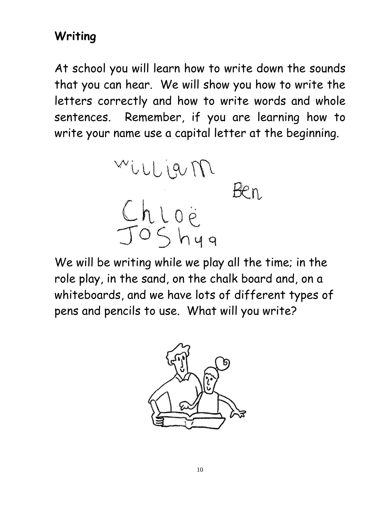## **Writing**

At school you will learn how to write down the sounds that you can hear. We will show you how to write the letters correctly and how to write words and whole sentences. Remember, if you are learning how to write your name use a capital letter at the beginning.



We will be writing while we play all the time; in the role play, in the sand, on the chalk board and, on a whiteboards, and we have lots of different types of pens and pencils to use. What will you write?

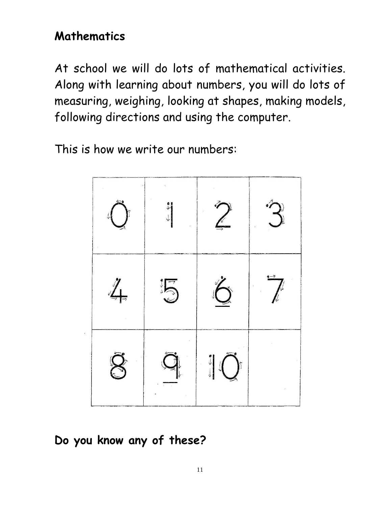## **Mathematics**

At school we will do lots of mathematical activities. Along with learning about numbers, you will do lots of measuring, weighing, looking at shapes, making models, following directions and using the computer.

This is how we write our numbers:



**Do you know any of these?**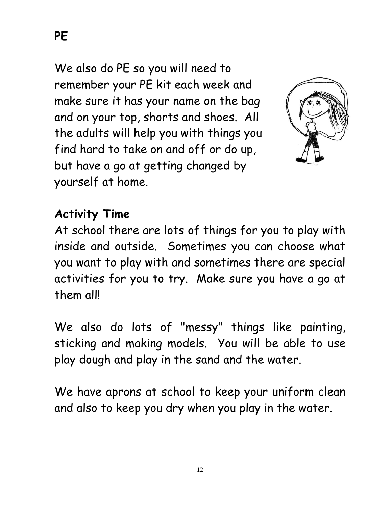**PE**

We also do PE so you will need to remember your PE kit each week and make sure it has your name on the bag and on your top, shorts and shoes. All the adults will help you with things you find hard to take on and off or do up, but have a go at getting changed by yourself at home.



### **Activity Time**

At school there are lots of things for you to play with inside and outside. Sometimes you can choose what you want to play with and sometimes there are special activities for you to try. Make sure you have a go at them all!

We also do lots of "messy" things like painting, sticking and making models. You will be able to use play dough and play in the sand and the water.

We have aprons at school to keep your uniform clean and also to keep you dry when you play in the water.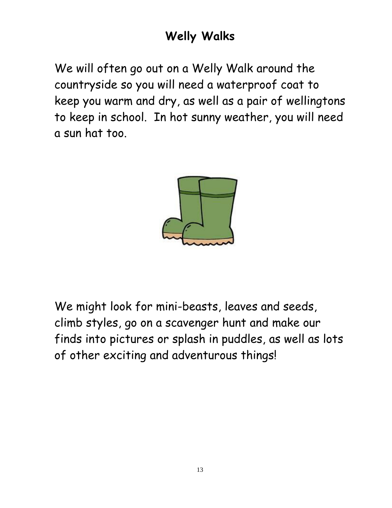# **Welly Walks**

We will often go out on a Welly Walk around the countryside so you will need a waterproof coat to keep you warm and dry, as well as a pair of wellingtons to keep in school. In hot sunny weather, you will need a sun hat too.



We might look for mini-beasts, leaves and seeds, climb styles, go on a scavenger hunt and make our finds into pictures or splash in puddles, as well as lots of other exciting and adventurous things!